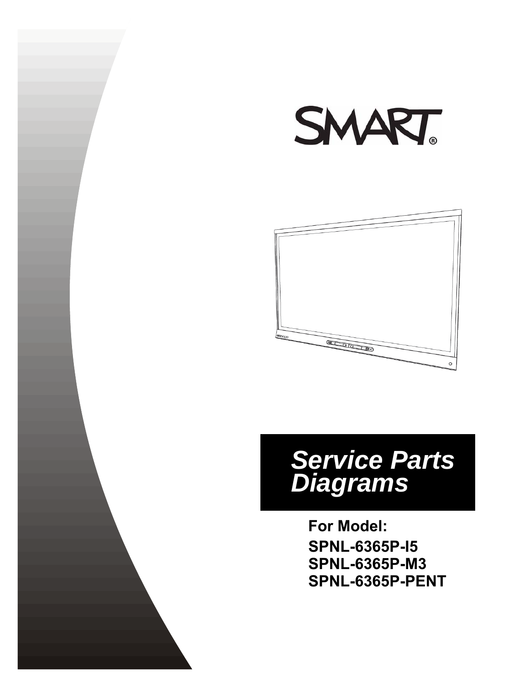



# *Service Parts Diagrams*

**SPNL-6365P-I5 For Model: SPNL-6365P-M3 SPNL-6365P-PENT**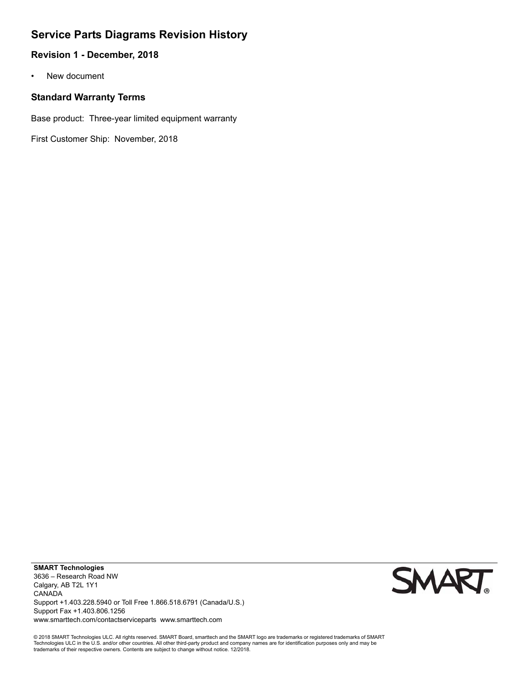## **Service Parts Diagrams Revision History**

#### **Revision 1 - December, 2018**

• New document

#### **Standard Warranty Terms**

Base product: Three-year limited equipment warranty

First Customer Ship: November, 2018

**SMART Technologies** 3636 – Research Road NW Calgary, AB T2L 1Y1 CANADA Support +1.403.228.5940 or Toll Free 1.866.518.6791 (Canada/U.S.) Support Fax +1.403.806.1256 www.smarttech.com/contactserviceparts www.smarttech.com



© 2018 SMART Technologies ULC. All rights reserved. SMART Board, smarttech and the SMART logo are trademarks or registered trademarks of SMART<br>Technologies ULC in the U.S. and/or other countries. All other third-party pro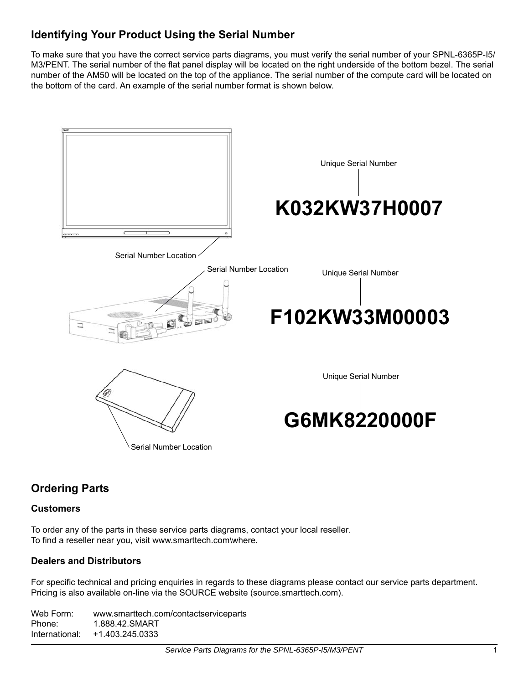## <span id="page-4-0"></span>**Identifying Your Product Using the Serial Number**

To make sure that you have the correct service parts diagrams, you must verify the serial number of your SPNL-6365P-I5/ M3/PENT. The serial number of the flat panel display will be located on the right underside of the bottom bezel. The serial number of the AM50 will be located on the top of the appliance. The serial number of the compute card will be located on the bottom of the card. An example of the serial number format is shown below.



# <span id="page-4-1"></span>**Ordering Parts**

### **Customers**

[To order any of the parts in these service parts diagrams, contact your local reseller.](http://www.smarttech.com/where) To find a reseller near you, visit www.smarttech.com\where.

### **Dealers and Distributors**

For specific technical and pricing enquiries in regards to these diagrams please contact our service parts department. Pricing is also available on-line via the SOURCE website (source.smarttech.com).

Web Form: www.smarttech.com/contactserviceparts Phone: 1.888.42.SMART International: +1.403.245.0333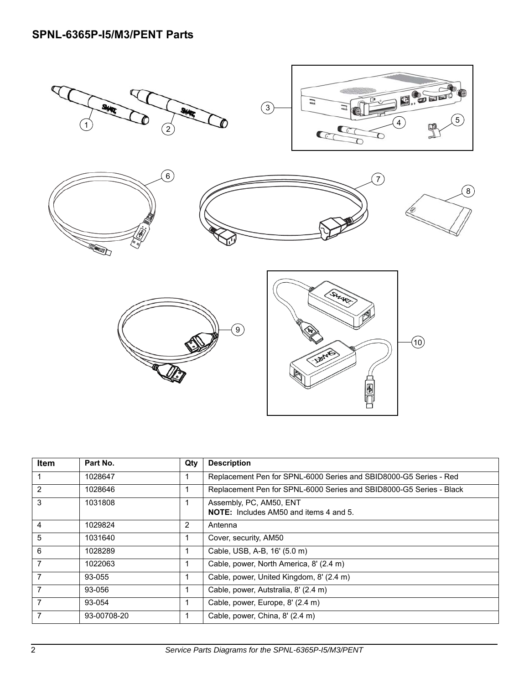l II

<span id="page-5-0"></span>

| <b>Item</b>    | Part No.    | Qty | <b>Description</b>                                                       |
|----------------|-------------|-----|--------------------------------------------------------------------------|
| 1              | 1028647     |     | Replacement Pen for SPNL-6000 Series and SBID8000-G5 Series - Red        |
| 2              | 1028646     |     | Replacement Pen for SPNL-6000 Series and SBID8000-G5 Series - Black      |
| 3              | 1031808     |     | Assembly, PC, AM50, ENT<br><b>NOTE:</b> Includes AM50 and items 4 and 5. |
| $\overline{4}$ | 1029824     | 2   | Antenna                                                                  |
| 5              | 1031640     | 1   | Cover, security, AM50                                                    |
| 6              | 1028289     | 1   | Cable, USB, A-B, 16' (5.0 m)                                             |
| 7              | 1022063     | 1   | Cable, power, North America, 8' (2.4 m)                                  |
| 7              | 93-055      | 1   | Cable, power, United Kingdom, 8' (2.4 m)                                 |
| 7              | 93-056      | 1   | Cable, power, Autstralia, 8' (2.4 m)                                     |
|                | 93-054      | 1   | Cable, power, Europe, 8' (2.4 m)                                         |
|                | 93-00708-20 | -1  | Cable, power, China, 8' (2.4 m)                                          |

é<br>P